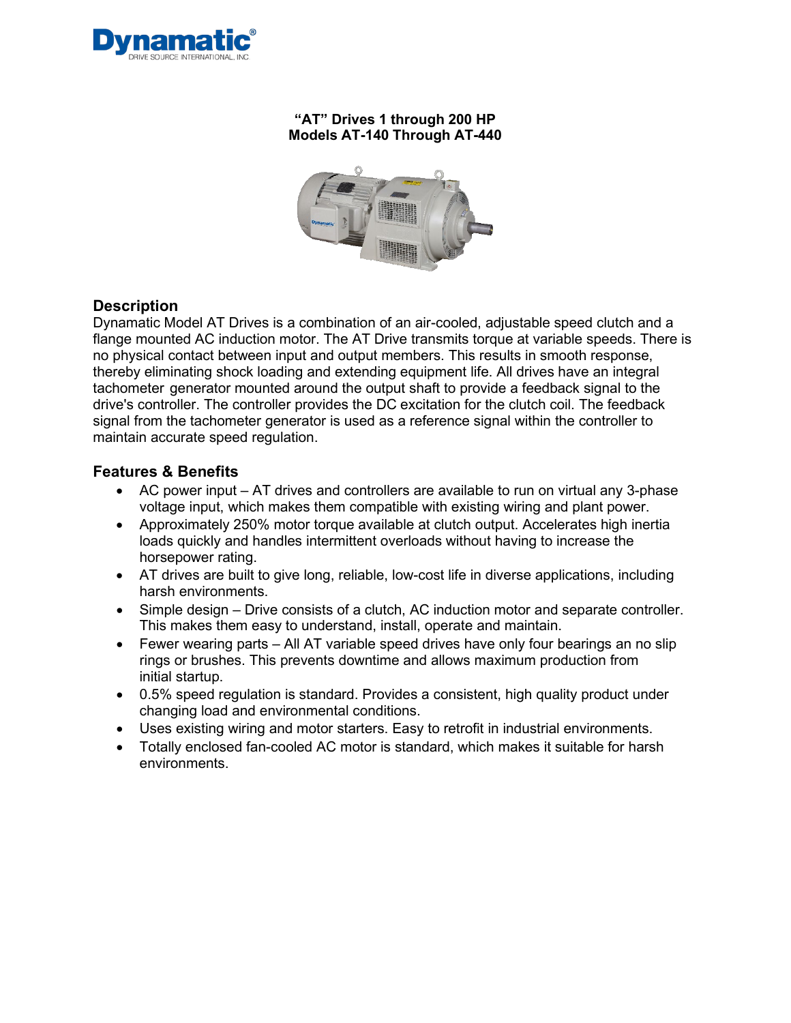

## **"AT" Drives 1 through 200 HP Models AT-140 Through AT-440**



## **Description**

Dynamatic Model AT Drives is a combination of an air-cooled, adjustable speed clutch and a flange mounted AC induction motor. The AT Drive transmits torque at variable speeds. There is no physical contact between input and output members. This results in smooth response, thereby eliminating shock loading and extending equipment life. All drives have an integral tachometer generator mounted around the output shaft to provide a feedback signal to the drive's controller. The controller provides the DC excitation for the clutch coil. The feedback signal from the tachometer generator is used as a reference signal within the controller to maintain accurate speed regulation.

## **Features & Benefits**

- AC power input AT drives and controllers are available to run on virtual any 3-phase voltage input, which makes them compatible with existing wiring and plant power.
- Approximately 250% motor torque available at clutch output. Accelerates high inertia loads quickly and handles intermittent overloads without having to increase the horsepower rating.
- AT drives are built to give long, reliable, low-cost life in diverse applications, including harsh environments.
- Simple design Drive consists of a clutch, AC induction motor and separate controller. This makes them easy to understand, install, operate and maintain.
- Fewer wearing parts All AT variable speed drives have only four bearings an no slip rings or brushes. This prevents downtime and allows maximum production from initial startup.
- 0.5% speed regulation is standard. Provides a consistent, high quality product under changing load and environmental conditions.
- Uses existing wiring and motor starters. Easy to retrofit in industrial environments.
- Totally enclosed fan-cooled AC motor is standard, which makes it suitable for harsh environments.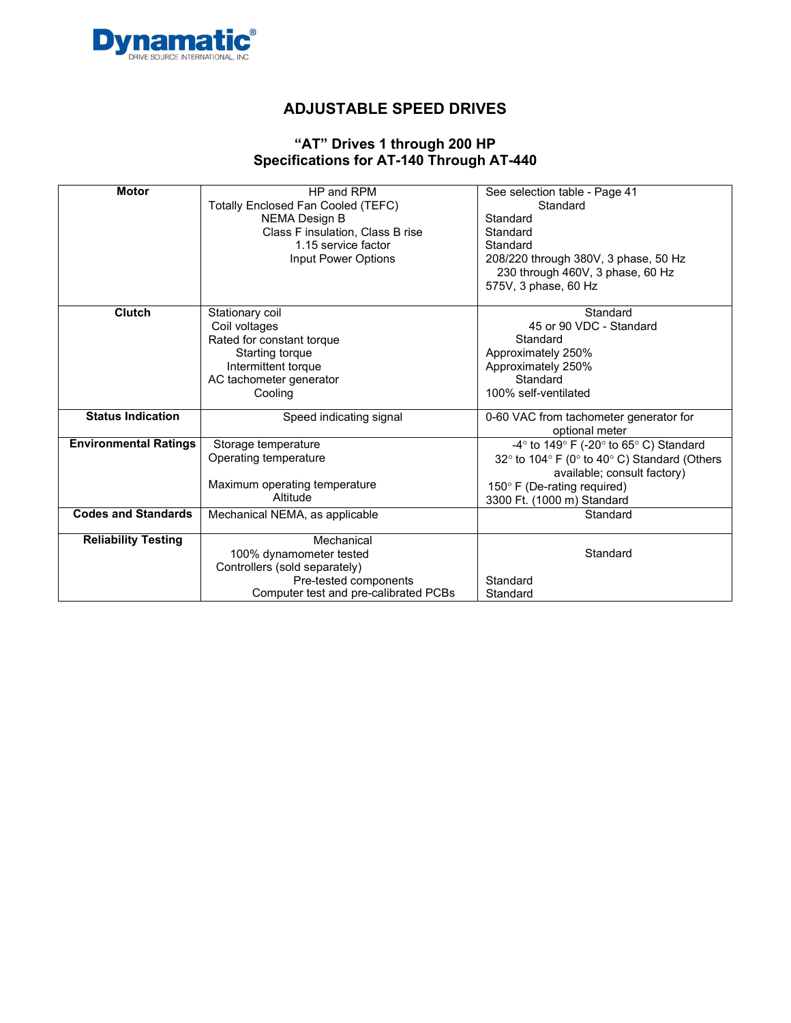

#### **"AT" Drives 1 through 200 HP Specifications for AT-140 Through AT-440**

| <b>Motor</b>                 | HP and RPM                                | See selection table - Page 41                                              |
|------------------------------|-------------------------------------------|----------------------------------------------------------------------------|
|                              | <b>Totally Enclosed Fan Cooled (TEFC)</b> | Standard                                                                   |
|                              | <b>NEMA Design B</b>                      | Standard                                                                   |
|                              | Class F insulation, Class B rise          | Standard                                                                   |
|                              | 1.15 service factor                       | Standard                                                                   |
|                              | Input Power Options                       | 208/220 through 380V, 3 phase, 50 Hz                                       |
|                              |                                           | 230 through 460V, 3 phase, 60 Hz                                           |
|                              |                                           | 575V, 3 phase, 60 Hz                                                       |
| <b>Clutch</b>                | Stationary coil                           | Standard                                                                   |
|                              | Coil voltages                             | 45 or 90 VDC - Standard                                                    |
|                              | Rated for constant torque                 | Standard                                                                   |
|                              | Starting torque                           | Approximately 250%                                                         |
|                              | Intermittent torque                       | Approximately 250%                                                         |
|                              | AC tachometer generator                   | Standard                                                                   |
|                              | Cooling                                   | 100% self-ventilated                                                       |
| <b>Status Indication</b>     | Speed indicating signal                   | 0-60 VAC from tachometer generator for                                     |
|                              |                                           | optional meter                                                             |
| <b>Environmental Ratings</b> | Storage temperature                       | -4 $\degree$ to 149 $\degree$ F (-20 $\degree$ to 65 $\degree$ C) Standard |
|                              | Operating temperature                     | 32° to 104° F (0° to 40° C) Standard (Others                               |
|                              |                                           | available; consult factory)                                                |
|                              | Maximum operating temperature             | 150° F (De-rating required)                                                |
|                              | Altitude                                  | 3300 Ft. (1000 m) Standard                                                 |
| <b>Codes and Standards</b>   | Mechanical NEMA, as applicable            | Standard                                                                   |
| <b>Reliability Testing</b>   | Mechanical                                |                                                                            |
|                              | 100% dynamometer tested                   | Standard                                                                   |
|                              | Controllers (sold separately)             |                                                                            |
|                              | Pre-tested components                     | Standard                                                                   |
|                              | Computer test and pre-calibrated PCBs     | Standard                                                                   |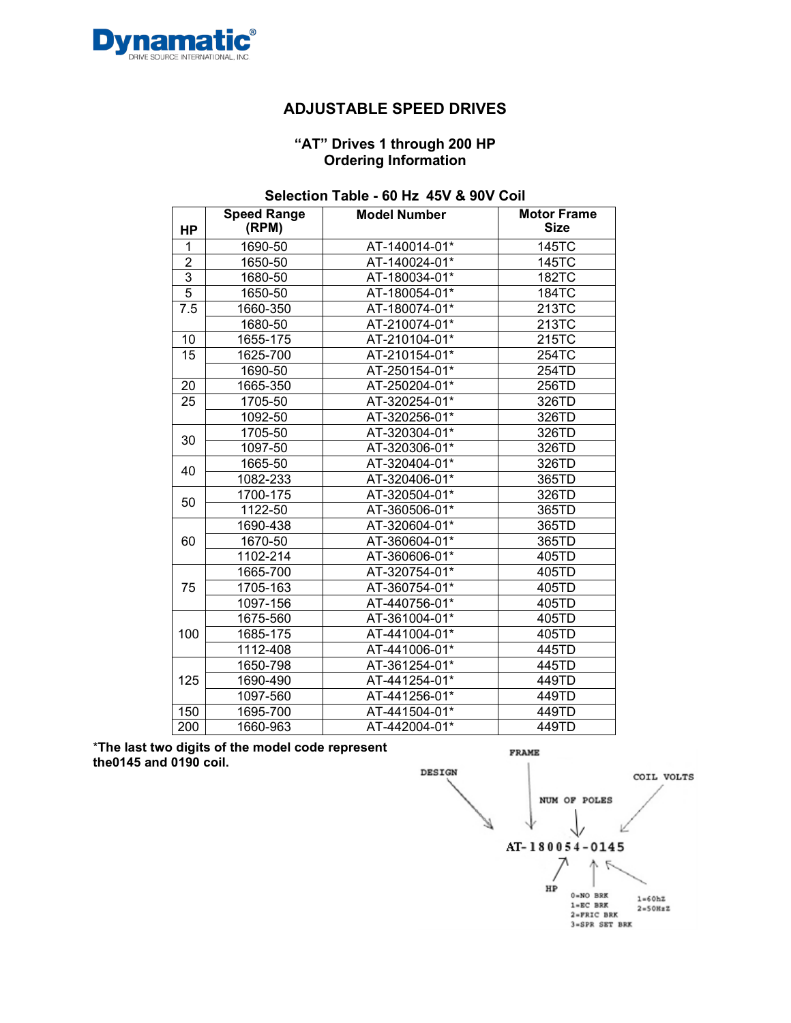

#### **"AT" Drives 1 through 200 HP Ordering Information**

### **Selection Table - 60 Hz 45V & 90V Coil**

| <b>HP</b>      | <b>Speed Range</b><br>(RPM) | <b>Model Number</b> | <b>Motor Frame</b><br><b>Size</b> |
|----------------|-----------------------------|---------------------|-----------------------------------|
| 1              | 1690-50                     | AT-140014-01*       | 145TC                             |
| $\overline{2}$ | 1650-50                     | AT-140024-01*       | 145TC                             |
| 3              | 1680-50                     | AT-180034-01*       | <b>182TC</b>                      |
| $\overline{5}$ | 1650-50                     | AT-180054-01*       | <b>184TC</b>                      |
| 7.5            | 1660-350                    | AT-180074-01*       | 213TC                             |
|                | 1680-50                     | AT-210074-01*       | 213TC                             |
| 10             | 1655-175                    | AT-210104-01*       | 215TC                             |
| 15             | 1625-700                    | AT-210154-01*       | 254TC                             |
|                | 1690-50                     | AT-250154-01*       | 254TD                             |
| 20             | 1665-350                    | AT-250204-01*       | 256TD                             |
| 25             | 1705-50                     | AT-320254-01*       | 326TD                             |
|                | 1092-50                     | AT-320256-01*       | 326TD                             |
| 30             | 1705-50                     | AT-320304-01*       | 326TD                             |
|                | 1097-50                     | AT-320306-01*       | 326TD                             |
| 40             | 1665-50                     | AT-320404-01*       | 326TD                             |
|                | 1082-233                    | AT-320406-01*       | 365TD                             |
| 50             | 1700-175                    | AT-320504-01*       | 326TD                             |
|                | 1122-50                     | AT-360506-01*       | 365TD                             |
|                | 1690-438                    | AT-320604-01*       | 365TD                             |
| 60             | 1670-50                     | AT-360604-01*       | 365TD                             |
|                | 1102-214                    | AT-360606-01*       | 405TD                             |
|                | 1665-700                    | AT-320754-01*       | 405TD                             |
| 75             | 1705-163                    | AT-360754-01*       | 405TD                             |
|                | 1097-156                    | AT-440756-01*       | 405TD                             |
|                | 1675-560                    | AT-361004-01*       | 405TD                             |
| 100            | 1685-175                    | AT-441004-01*       | 405TD                             |
|                | 1112-408                    | AT-441006-01*       | 445TD                             |
|                | 1650-798                    | AT-361254-01*       | 445TD                             |
| 125            | 1690-490                    | AT-441254-01*       | 449TD                             |
|                | 1097-560                    | AT-441256-01*       | 449TD                             |
| 150            | 1695-700                    | AT-441504-01*       | 449TD                             |
| 200            | 1660-963                    | AT-442004-01*       | 449TD                             |

\***The last two digits of the model code represent the0145 and 0190 coil.**

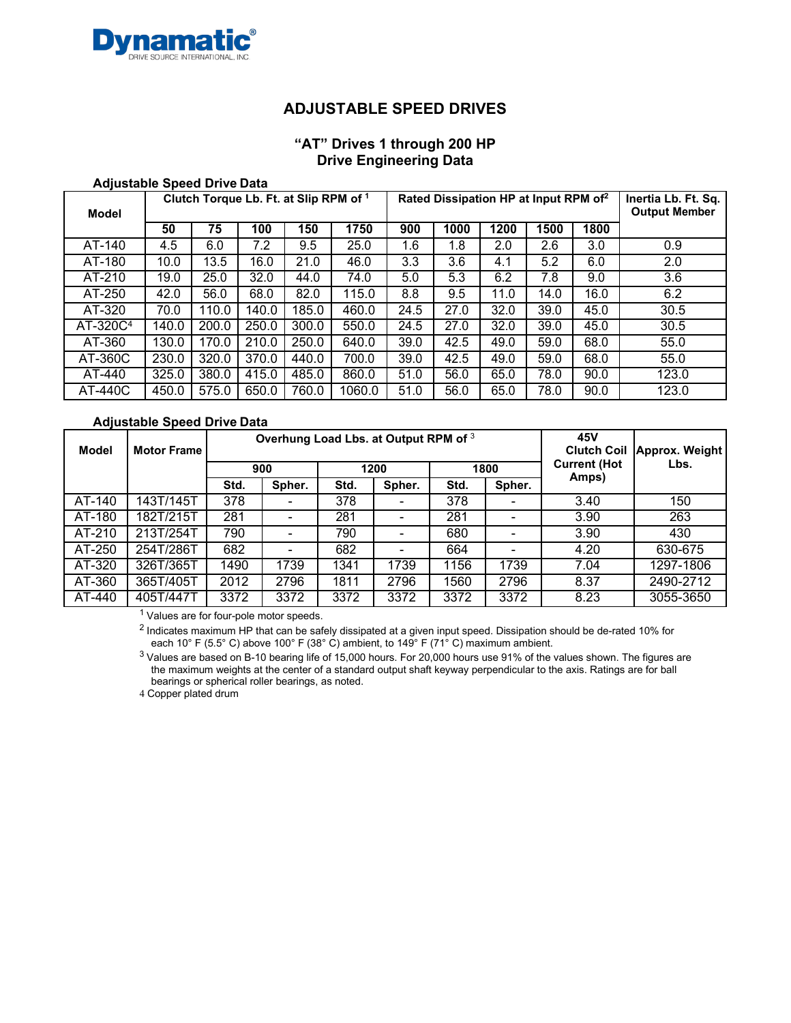

## **"AT" Drives 1 through 200 HP Drive Engineering Data**

| <b>Adjustable Speed Drive Data</b> |  |  |  |
|------------------------------------|--|--|--|
|------------------------------------|--|--|--|

| Model                |       | Clutch Torque Lb. Ft. at Slip RPM of 1 |       |       |        |      | Rated Dissipation HP at Input RPM of <sup>2</sup> |      | Inertia Lb. Ft. Sq.<br><b>Output Member</b> |      |       |
|----------------------|-------|----------------------------------------|-------|-------|--------|------|---------------------------------------------------|------|---------------------------------------------|------|-------|
|                      | 50    | 75                                     | 100   | 150   | 1750   | 900  | 1000                                              | 1200 | 1500                                        | 1800 |       |
| AT-140               | 4.5   | 6.0                                    | 7.2   | 9.5   | 25.0   | 1.6  | 1.8                                               | 2.0  | 2.6                                         | 3.0  | 0.9   |
| AT-180               | 10.0  | $13.\overline{5}$                      | 16.0  | 21.0  | 46.0   | 3.3  | 3.6                                               | 4.1  | 5.2                                         | 6.0  | 2.0   |
| AT-210               | 19.0  | 25.0                                   | 32.0  | 44.0  | 74.0   | 5.0  | 5.3                                               | 6.2  | 7.8                                         | 9.0  | 3.6   |
| AT-250               | 42.0  | 56.0                                   | 68.0  | 82.0  | 115.0  | 8.8  | 9.5                                               | 11.0 | 14.0                                        | 16.0 | 6.2   |
| AT-320               | 70.0  | 110.0                                  | 140.0 | 185.0 | 460.0  | 24.5 | 27.0                                              | 32.0 | 39.0                                        | 45.0 | 30.5  |
| AT-320C <sup>4</sup> | 140.0 | 200.0                                  | 250.0 | 300.0 | 550.0  | 24.5 | 27.0                                              | 32.0 | 39.0                                        | 45.0 | 30.5  |
| AT-360               | 130.0 | 170.0                                  | 210.0 | 250.0 | 640.0  | 39.0 | 42.5                                              | 49.0 | 59.0                                        | 68.0 | 55.0  |
| AT-360C              | 230.0 | 320.0                                  | 370.0 | 440.0 | 700.0  | 39.0 | 42.5                                              | 49.0 | 59.0                                        | 68.0 | 55.0  |
| AT-440               | 325.0 | 380.0                                  | 415.0 | 485.0 | 860.0  | 51.0 | 56.0                                              | 65.0 | 78.0                                        | 90.0 | 123.0 |
| AT-440C              | 450.0 | 575.0                                  | 650.0 | 760.0 | 1060.0 | 51.0 | 56.0                                              | 65.0 | 78.0                                        | 90.0 | 123.0 |

#### **Adjustable Speed Drive Data**

| Model               | <b>Motor Frame</b> |      | Overhung Load Lbs. at Output RPM of 3 |      |          |                |      | 45V<br><b>Clutch Coil</b> | Approx. Weight |
|---------------------|--------------------|------|---------------------------------------|------|----------|----------------|------|---------------------------|----------------|
|                     |                    |      | 900                                   |      | 1200     |                | 1800 | <b>Current (Hot</b>       | Lbs.           |
|                     |                    | Std. | Spher.                                | Std. | Spher.   | Spher.<br>Std. |      | Amps)                     |                |
| AT-140              | 143T/145T          | 378  |                                       | 378  |          | 378            |      | 3.40                      | 150            |
| AT-180              | 182T/215T          | 281  | -                                     | 281  | $\equiv$ | 281            |      | 3.90                      | 263            |
| $\overline{AT-210}$ | 213T/254T          | 790  |                                       | 790  | -        | 680            |      | 3.90                      | 430            |
| $\overline{AT-250}$ | 254T/286T          | 682  |                                       | 682  | -        | 664            |      | 4.20                      | 630-675        |
| AT-320              | 326T/365T          | 1490 | 1739                                  | 1341 | 1739     | 1156           | 1739 | 7.04                      | 1297-1806      |
| AT-360              | 365T/405T          | 2012 | 2796                                  | 1811 | 2796     | 1560           | 2796 | 8.37                      | 2490-2712      |
| AT-440              | 405T/447T          | 3372 | 3372                                  | 3372 | 3372     | 3372           | 3372 | 8.23                      | 3055-3650      |

<sup>1</sup> Values are for four-pole motor speeds.

<sup>2</sup> Indicates maximum HP that can be safely dissipated at a given input speed. Dissipation should be de-rated 10% for each 10° F (5.5° C) above 100° F (38° C) ambient, to 149° F (71° C) maximum ambient.

<sup>3</sup> Values are based on B-10 bearing life of 15,000 hours. For 20,000 hours use 91% of the values shown. The figures are the maximum weights at the center of a standard output shaft keyway perpendicular to the axis. Ratings are for ball bearings or spherical roller bearings, as noted.

4 Copper plated drum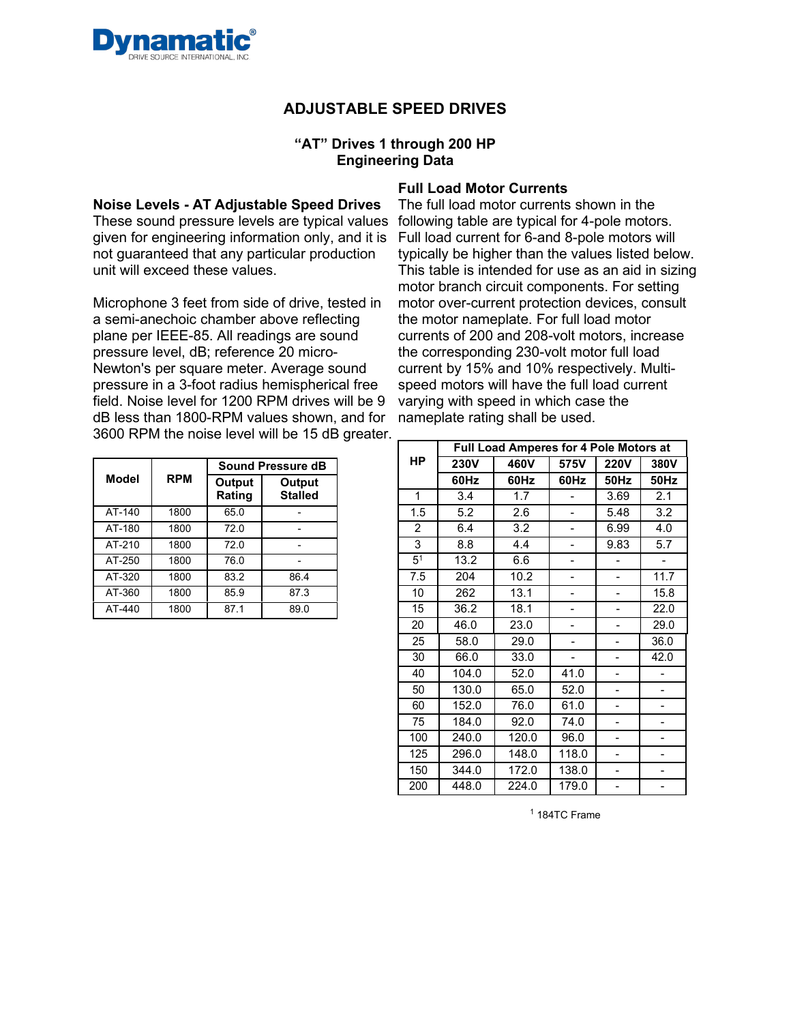

#### **"AT" Drives 1 through 200 HP Engineering Data**

**Noise Levels - AT Adjustable Speed Drives**  These sound pressure levels are typical values given for engineering information only, and it is not guaranteed that any particular production unit will exceed these values.

Microphone 3 feet from side of drive, tested in a semi-anechoic chamber above reflecting plane per IEEE-85. All readings are sound pressure level, dB; reference 20 micro-Newton's per square meter. Average sound pressure in a 3-foot radius hemispherical free field. Noise level for 1200 RPM drives will be 9 dB less than 1800-RPM values shown, and for 3600 RPM the noise level will be 15 dB greater.

|        |            |                  | Sound Pressure dB        |
|--------|------------|------------------|--------------------------|
| Model  | <b>RPM</b> | Output<br>Rating | Output<br><b>Stalled</b> |
| AT-140 | 1800       | 65.0             |                          |
| AT-180 | 1800       | 72.0             |                          |
| AT-210 | 1800       | 72.0             |                          |
| AT-250 | 1800       | 76.0             |                          |
| AT-320 | 1800       | 83.2             | 86.4                     |
| AT-360 | 1800       | 85.9             | 87.3                     |
| AT-440 | 1800       | 87.1             | 89.0                     |

#### **Full Load Motor Currents**

The full load motor currents shown in the following table are typical for 4-pole motors. Full load current for 6-and 8-pole motors will typically be higher than the values listed below. This table is intended for use as an aid in sizing motor branch circuit components. For setting motor over-current protection devices, consult the motor nameplate. For full load motor currents of 200 and 208-volt motors, increase the corresponding 230-volt motor full load current by 15% and 10% respectively. Multispeed motors will have the full load current varying with speed in which case the nameplate rating shall be used.

|                |             | Full Load Amperes for 4 Pole Motors at |       |             |      |
|----------------|-------------|----------------------------------------|-------|-------------|------|
| <b>HP</b>      | <b>230V</b> | 460V                                   | 575V  | <b>220V</b> | 380V |
|                | 60Hz        | 60Hz                                   | 60Hz  | <b>50Hz</b> | 50Hz |
| 1              | 3.4         | 1.7                                    |       | 3.69        | 2.1  |
| 1.5            | 5.2         | 2.6                                    |       | 5.48        | 3.2  |
| $\overline{2}$ | 6.4         | 3.2                                    |       | 6.99        | 4.0  |
| 3              | 8.8         | 4.4                                    |       | 9.83        | 5.7  |
| 5 <sup>1</sup> | 13.2        | 6.6                                    |       |             |      |
| 7.5            | 204         | 10.2                                   |       |             | 11.7 |
| 10             | 262         | 13.1                                   |       |             | 15.8 |
| 15             | 36.2        | 18.1                                   |       |             | 22.0 |
| 20             | 46.0        | 23.0                                   |       |             | 29.0 |
| 25             | 58.0        | 29.0                                   |       |             | 36.0 |
| 30             | 66.0        | 33.0                                   | -     |             | 42.0 |
| 40             | 104.0       | 52.0                                   | 41.0  |             |      |
| 50             | 130.0       | 65.0                                   | 52.0  |             |      |
| 60             | 152.0       | 76.0                                   | 61.0  |             |      |
| 75             | 184.0       | 92.0                                   | 74.0  |             |      |
| 100            | 240.0       | 120.0                                  | 96.0  |             |      |
| 125            | 296.0       | 148.0                                  | 118.0 |             |      |
| 150            | 344.0       | 172.0                                  | 138.0 |             |      |
| 200            | 448.0       | 224.0                                  | 179.0 |             |      |

<sup>1</sup> 184TC Frame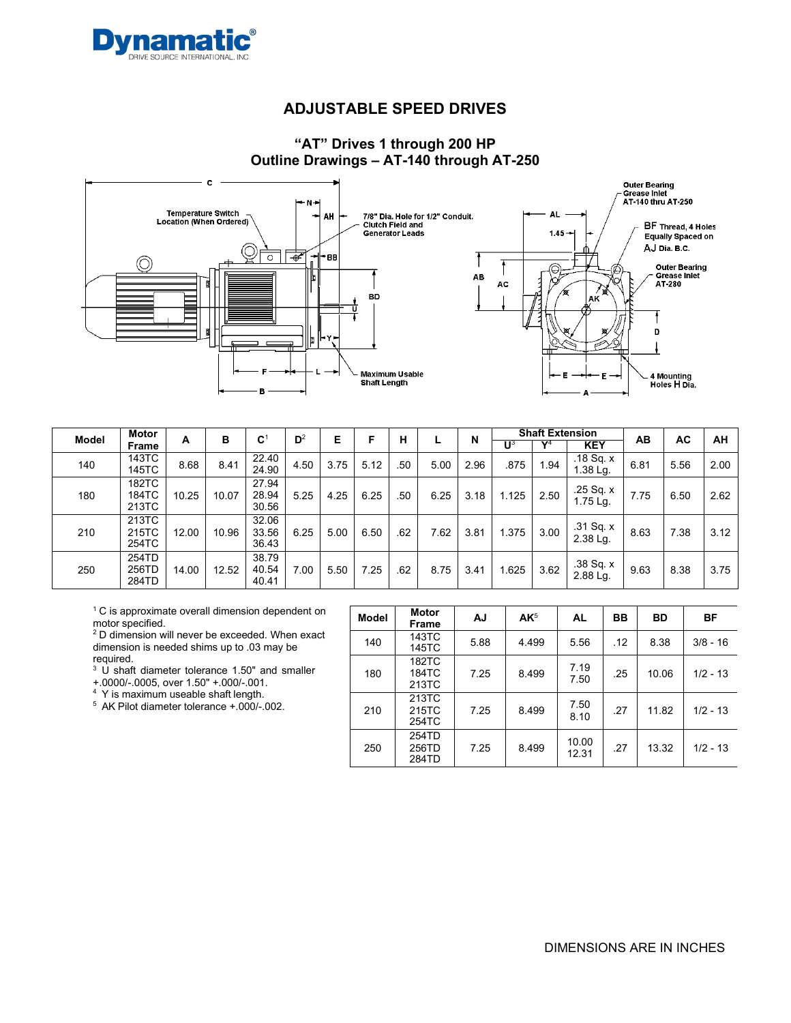

### **"AT" Drives 1 through 200 HP Outline Drawings – AT-140 through AT-250**



| <b>Model</b> | Motor                   |       | в     | $\mathbf{C}^1$          | $D^2$ | Е    |      | н   |      | N    |       | <b>Shaft Extension</b> |                                  | AB   | AC   | AH   |
|--------------|-------------------------|-------|-------|-------------------------|-------|------|------|-----|------|------|-------|------------------------|----------------------------------|------|------|------|
|              | Frame                   | A     |       |                         |       |      |      |     |      |      | ປຸ    | $\mathbf{v}$ 4         | <b>KEY</b>                       |      |      |      |
| 140          | 143TC<br>145TC          | 8.68  | 8.41  | 22.40<br>24.90          | 4.50  | 3.75 | 5.12 | .50 | 5.00 | 2.96 | .875  | 1.94                   | $.18$ Sq. x<br>$1.38$ Lg.        | 6.81 | 5.56 | 2.00 |
| 180          | 182TC<br>184TC<br>213TC | 10.25 | 10.07 | 27.94<br>28.94<br>30.56 | 5.25  | 4.25 | 6.25 | .50 | 6.25 | 3.18 | 1.125 | 2.50                   | .25 Sq. x<br>$1.75 \text{ Lg}$ . | 7.75 | 6.50 | 2.62 |
| 210          | 213TC<br>215TC<br>254TC | 12.00 | 10.96 | 32.06<br>33.56<br>36.43 | 6.25  | 5.00 | 6.50 | .62 | 7.62 | 3.81 | 1.375 | 3.00                   | $.31$ Sq. $x$<br>2.38 Lg.        | 8.63 | 7.38 | 3.12 |
| 250          | 254TD<br>256TD<br>284TD | 14.00 | 12.52 | 38.79<br>40.54<br>40.41 | 7.00  | 5.50 | 7.25 | .62 | 8.75 | 3.41 | 1.625 | 3.62                   | .38 Sq. x<br>2.88 Lg.            | 9.63 | 8.38 | 3.75 |

 $1^{\circ}$  C is approximate overall dimension dependent on motor specified.

 $2$  D dimension will never be exceeded. When exact dimension is needed shims up to .03 may be required.

3 U shaft diameter tolerance 1.50" and smaller

+.0000/-.0005, over 1.50" +.000/-.001.

4 Y is maximum useable shaft length.

5 AK Pilot diameter tolerance +.000/-.002.

| Model | <b>Motor</b><br>Frame   | AJ   | AK <sup>5</sup> | <b>AL</b>      | BB  | <b>BD</b> | <b>BF</b>  |
|-------|-------------------------|------|-----------------|----------------|-----|-----------|------------|
| 140   | 143TC<br>145TC          | 5.88 | 4.499           | 5.56           | .12 | 8.38      | $3/8 - 16$ |
| 180   | 182TC<br>184TC<br>213TC | 7.25 | 8.499           | 7.19<br>7.50   | .25 | 10.06     | $1/2 - 13$ |
| 210   | 213TC<br>215TC<br>254TC | 7.25 | 8.499           | 7.50<br>8.10   | .27 | 11.82     | $1/2 - 13$ |
| 250   | 254TD<br>256TD<br>284TD | 7.25 | 8.499           | 10.00<br>12.31 | .27 | 13.32     | $1/2 - 13$ |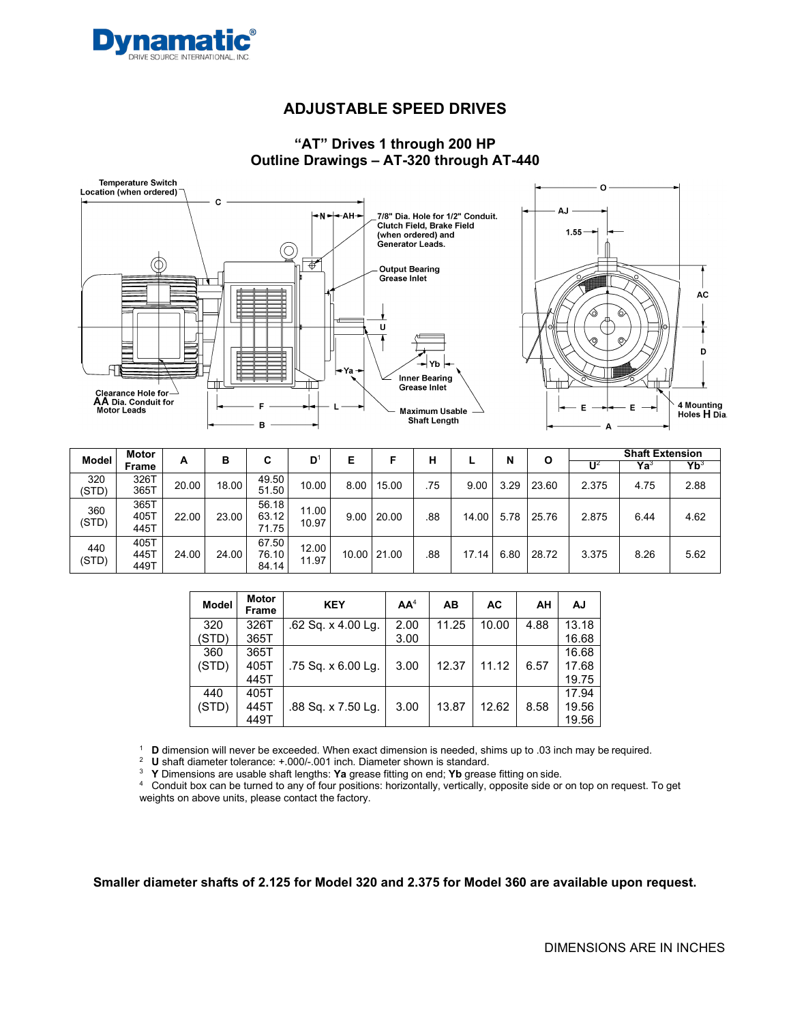

### **"AT" Drives 1 through 200 HP Outline Drawings – AT-320 through AT-440**





| <b>Model</b> | Motor                |       | в     | C                       | $\mathbf{D}^1$ | E     |       | н   |       | N    | Ο     |                | <b>Shaft Extension</b> |                 |
|--------------|----------------------|-------|-------|-------------------------|----------------|-------|-------|-----|-------|------|-------|----------------|------------------------|-----------------|
|              | Frame                | А     |       |                         |                |       |       |     |       |      |       | U <sup>2</sup> | $\mathsf{Ya}^3$        | Yb <sup>3</sup> |
| 320<br>(STD) | 326T<br>365T         | 20.00 | 18.00 | 49.50<br>51.50          | 10.00          | 8.00  | 15.00 | .75 | 9.00  | 3.29 | 23.60 | 2.375          | 4.75                   | 2.88            |
| 360<br>(STD) | 365T<br>405T<br>445T | 22.00 | 23.00 | 56.18<br>63.12<br>71.75 | 11.00<br>10.97 | 9.00  | 20.00 | .88 | 14.00 | 5.78 | 25.76 | 2.875          | 6.44                   | 4.62            |
| 440<br>(STD) | 405T<br>445T<br>449T | 24.00 | 24.00 | 67.50<br>76.10<br>84.14 | 12.00<br>11.97 | 10.00 | 21.00 | .88 | 17.14 | 6.80 | 28.72 | 3.375          | 8.26                   | 5.62            |

| <b>Model</b> | <b>Motor</b><br>Frame | <b>KEY</b>         | AA <sup>4</sup> | AB    | <b>AC</b> | AΗ   | AJ    |
|--------------|-----------------------|--------------------|-----------------|-------|-----------|------|-------|
| 320          | 326T                  | .62 Sq. x 4.00 Lg. | 2.00            | 11.25 | 10.00     | 4.88 | 13.18 |
| (STD)        | 365T                  |                    | 3.00            |       |           |      | 16.68 |
| 360          | 365T                  |                    |                 |       |           |      | 16.68 |
| (STD)        | 405T                  | .75 Sq. x 6.00 Lq. | 3.00            | 12.37 | 11.12     | 6.57 | 17.68 |
|              | 445T                  |                    |                 |       |           |      | 19.75 |
| 440          | 405T                  |                    |                 |       |           |      | 17.94 |
| (STD)        | 445T                  | .88 Sq. x 7.50 Lg. | 3.00            | 13.87 | 12.62     | 8.58 | 19.56 |
|              | 449T                  |                    |                 |       |           |      | 19.56 |

<sup>1</sup> **D** dimension will never be exceeded. When exact dimension is needed, shims up to .03 inch may be required.

<sup>3</sup> **Y** Dimensions are usable shaft lengths: **Ya** grease fitting on end; **Yb** grease fitting on side.

<sup>4</sup> Conduit box can be turned to any of four positions: horizontally, vertically, opposite side or on top on request. To get weights on above units, please contact the factory.

**Smaller diameter shafts of 2.125 for Model 320 and 2.375 for Model 360 are available upon request.**